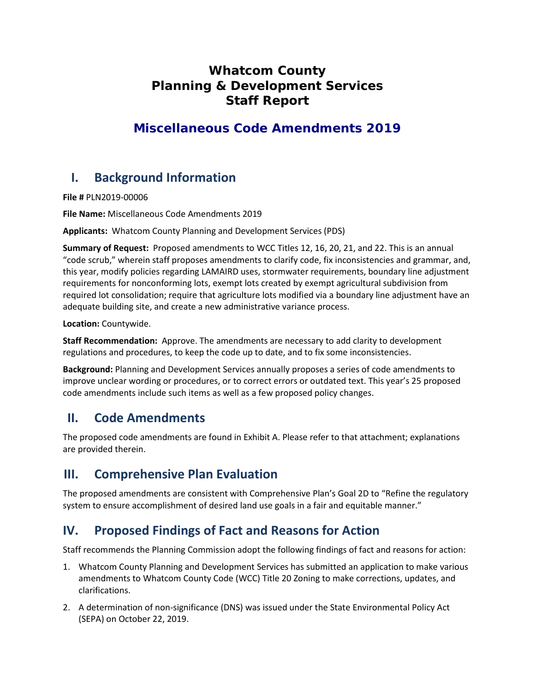## **Whatcom County Planning & Development Services Staff Report**

## **Miscellaneous Code Amendments 2019**

# **I. Background Information**

**File #** PLN2019-00006

**File Name:** Miscellaneous Code Amendments 2019

**Applicants:** Whatcom County Planning and Development Services (PDS)

**Summary of Request:** Proposed amendments to WCC Titles 12, 16, 20, 21, and 22. This is an annual "code scrub," wherein staff proposes amendments to clarify code, fix inconsistencies and grammar, and, this year, modify policies regarding LAMAIRD uses, stormwater requirements, boundary line adjustment requirements for nonconforming lots, exempt lots created by exempt agricultural subdivision from required lot consolidation; require that agriculture lots modified via a boundary line adjustment have an adequate building site, and create a new administrative variance process.

**Location:** Countywide.

**Staff Recommendation:** Approve. The amendments are necessary to add clarity to development regulations and procedures, to keep the code up to date, and to fix some inconsistencies.

**Background:** Planning and Development Services annually proposes a series of code amendments to improve unclear wording or procedures, or to correct errors or outdated text. This year's 25 proposed code amendments include such items as well as a few proposed policy changes.

## **II. Code Amendments**

The proposed code amendments are found in Exhibit A. Please refer to that attachment; explanations are provided therein.

## **III. Comprehensive Plan Evaluation**

The proposed amendments are consistent with Comprehensive Plan's Goal 2D to "Refine the regulatory system to ensure accomplishment of desired land use goals in a fair and equitable manner."

# **IV. Proposed Findings of Fact and Reasons for Action**

Staff recommends the Planning Commission adopt the following findings of fact and reasons for action:

- 1. Whatcom County Planning and Development Services has submitted an application to make various amendments to Whatcom County Code (WCC) Title 20 Zoning to make corrections, updates, and clarifications.
- 2. A determination of non-significance (DNS) was issued under the State Environmental Policy Act (SEPA) on October 22, 2019.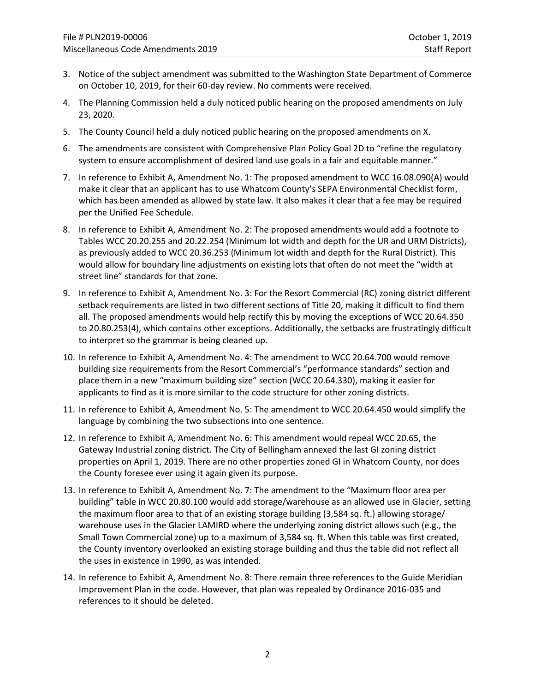- 3. Notice of the subject amendment was submitted to the Washington State Department of Commerce on October 10, 2019, for their 60-day review. No comments were received.
- 4. The Planning Commission held a duly noticed public hearing on the proposed amendments on July 23, 2020.
- 5. The County Council held a duly noticed public hearing on the proposed amendments on X.
- 6. The amendments are consistent with Comprehensive Plan Policy Goal 2D to "refine the regulatory system to ensure accomplishment of desired land use goals in a fair and equitable manner."
- 7. In reference to Exhibit A, Amendment No. 1: The proposed amendment to WCC 16.08.090(A) would make it clear that an applicant has to use Whatcom County's SEPA Environmental Checklist form, which has been amended as allowed by state law. It also makes it clear that a fee may be required per the Unified Fee Schedule.
- 8. In reference to Exhibit A, Amendment No. 2: The proposed amendments would add a footnote to Tables WCC 20.20.255 and 20.22.254 (Minimum lot width and depth for the UR and URM Districts), as previously added to WCC 20.36.253 (Minimum lot width and depth for the Rural District). This would allow for boundary line adjustments on existing lots that often do not meet the "width at street line" standards for that zone.
- 9. In reference to Exhibit A, Amendment No. 3: For the Resort Commercial (RC) zoning district different setback requirements are listed in two different sections of Title 20, making it difficult to find them all. The proposed amendments would help rectify this by moving the exceptions of WCC 20.64.350 to 20.80.253(4), which contains other exceptions. Additionally, the setbacks are frustratingly difficult to interpret so the grammar is being cleaned up.
- 10. In reference to Exhibit A, Amendment No. 4: The amendment to WCC 20.64.700 would remove building size requirements from the Resort Commercial's "performance standards" section and place them in a new "maximum building size" section (WCC 20.64.330), making it easier for applicants to find as it is more similar to the code structure for other zoning districts.
- 11. In reference to Exhibit A, Amendment No. 5: The amendment to WCC 20.64.450 would simplify the language by combining the two subsections into one sentence.
- 12. In reference to Exhibit A, Amendment No. 6: This amendment would repeal WCC 20.65, the Gateway Industrial zoning district. The City of Bellingham annexed the last GI zoning district properties on April 1, 2019. There are no other properties zoned GI in Whatcom County, nor does the County foresee ever using it again given its purpose.
- 13. In reference to Exhibit A, Amendment No. 7: The amendment to the "Maximum floor area per building" table in WCC 20.80.100 would add storage/warehouse as an allowed use in Glacier, setting the maximum floor area to that of an existing storage building (3,584 sq. ft.) allowing storage/ warehouse uses in the Glacier LAMIRD where the underlying zoning district allows such (e.g., the Small Town Commercial zone) up to a maximum of 3,584 sq. ft. When this table was first created, the County inventory overlooked an existing storage building and thus the table did not reflect all the uses in existence in 1990, as was intended.
- 14. In reference to Exhibit A, Amendment No. 8: There remain three references to the Guide Meridian Improvement Plan in the code. However, that plan was repealed by Ordinance 2016-035 and references to it should be deleted.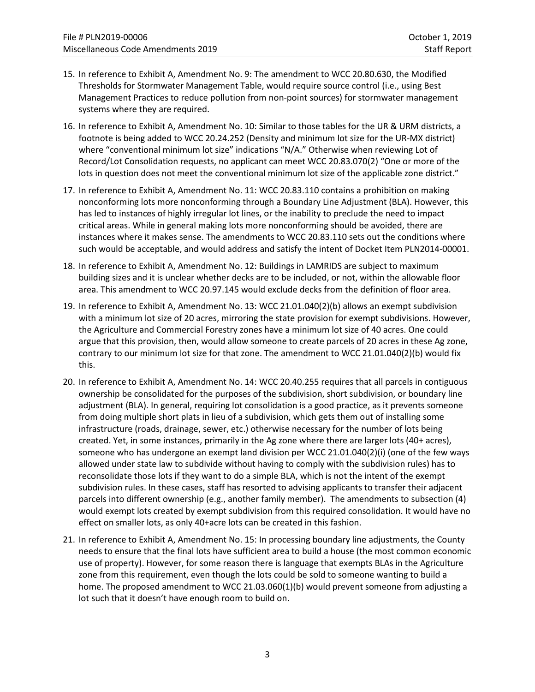- 15. In reference to Exhibit A, Amendment No. 9: The amendment to WCC 20.80.630, the Modified Thresholds for Stormwater Management Table, would require source control (i.e., using Best Management Practices to reduce pollution from non-point sources) for stormwater management systems where they are required.
- 16. In reference to Exhibit A, Amendment No. 10: Similar to those tables for the UR & URM districts, a footnote is being added to WCC 20.24.252 (Density and minimum lot size for the UR-MX district) where "conventional minimum lot size" indications "N/A." Otherwise when reviewing Lot of Record/Lot Consolidation requests, no applicant can meet WCC 20.83.070(2) "One or more of the lots in question does not meet the conventional minimum lot size of the applicable zone district."
- 17. In reference to Exhibit A, Amendment No. 11: WCC 20.83.110 contains a prohibition on making nonconforming lots more nonconforming through a Boundary Line Adjustment (BLA). However, this has led to instances of highly irregular lot lines, or the inability to preclude the need to impact critical areas. While in general making lots more nonconforming should be avoided, there are instances where it makes sense. The amendments to WCC 20.83.110 sets out the conditions where such would be acceptable, and would address and satisfy the intent of Docket Item PLN2014-00001.
- 18. In reference to Exhibit A, Amendment No. 12: Buildings in LAMRIDS are subject to maximum building sizes and it is unclear whether decks are to be included, or not, within the allowable floor area. This amendment to WCC 20.97.145 would exclude decks from the definition of floor area.
- 19. In reference to Exhibit A, Amendment No. 13: WCC 21.01.040(2)(b) allows an exempt subdivision with a minimum lot size of 20 acres, mirroring the state provision for exempt subdivisions. However, the Agriculture and Commercial Forestry zones have a minimum lot size of 40 acres. One could argue that this provision, then, would allow someone to create parcels of 20 acres in these Ag zone, contrary to our minimum lot size for that zone. The amendment to WCC 21.01.040(2)(b) would fix this.
- 20. In reference to Exhibit A, Amendment No. 14: WCC 20.40.255 requires that all parcels in contiguous ownership be consolidated for the purposes of the subdivision, short subdivision, or boundary line adjustment (BLA). In general, requiring lot consolidation is a good practice, as it prevents someone from doing multiple short plats in lieu of a subdivision, which gets them out of installing some infrastructure (roads, drainage, sewer, etc.) otherwise necessary for the number of lots being created. Yet, in some instances, primarily in the Ag zone where there are larger lots (40+ acres), someone who has undergone an exempt land division per WCC 21.01.040(2)(i) (one of the few ways allowed under state law to subdivide without having to comply with the subdivision rules) has to reconsolidate those lots if they want to do a simple BLA, which is not the intent of the exempt subdivision rules. In these cases, staff has resorted to advising applicants to transfer their adjacent parcels into different ownership (e.g., another family member). The amendments to subsection (4) would exempt lots created by exempt subdivision from this required consolidation. It would have no effect on smaller lots, as only 40+acre lots can be created in this fashion.
- 21. In reference to Exhibit A, Amendment No. 15: In processing boundary line adjustments, the County needs to ensure that the final lots have sufficient area to build a house (the most common economic use of property). However, for some reason there is language that exempts BLAs in the Agriculture zone from this requirement, even though the lots could be sold to someone wanting to build a home. The proposed amendment to WCC 21.03.060(1)(b) would prevent someone from adjusting a lot such that it doesn't have enough room to build on.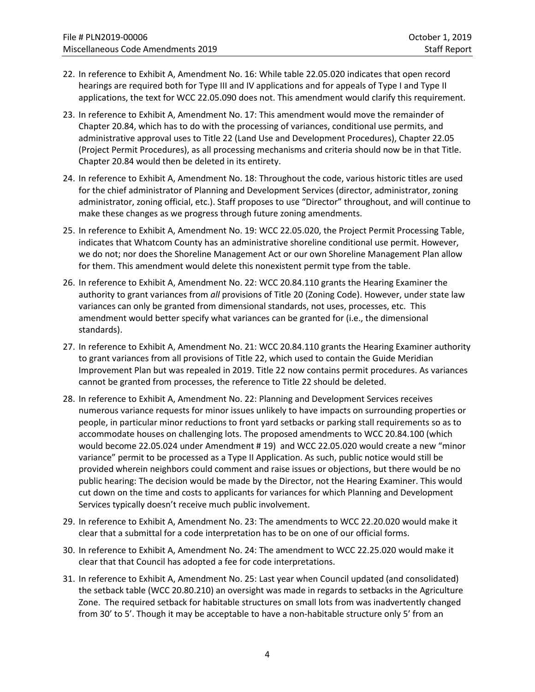- 22. In reference to Exhibit A, Amendment No. 16: While table 22.05.020 indicates that open record hearings are required both for Type III and IV applications and for appeals of Type I and Type II applications, the text for WCC 22.05.090 does not. This amendment would clarify this requirement.
- 23. In reference to Exhibit A, Amendment No. 17: This amendment would move the remainder of Chapter 20.84, which has to do with the processing of variances, conditional use permits, and administrative approval uses to Title 22 (Land Use and Development Procedures), Chapter 22.05 (Project Permit Procedures), as all processing mechanisms and criteria should now be in that Title. Chapter 20.84 would then be deleted in its entirety.
- 24. In reference to Exhibit A, Amendment No. 18: Throughout the code, various historic titles are used for the chief administrator of Planning and Development Services (director, administrator, zoning administrator, zoning official, etc.). Staff proposes to use "Director" throughout, and will continue to make these changes as we progress through future zoning amendments.
- 25. In reference to Exhibit A, Amendment No. 19: WCC 22.05.020, the Project Permit Processing Table, indicates that Whatcom County has an administrative shoreline conditional use permit. However, we do not; nor does the Shoreline Management Act or our own Shoreline Management Plan allow for them. This amendment would delete this nonexistent permit type from the table.
- 26. In reference to Exhibit A, Amendment No. 22: WCC 20.84.110 grants the Hearing Examiner the authority to grant variances from *all* provisions of Title 20 (Zoning Code). However, under state law variances can only be granted from dimensional standards, not uses, processes, etc. This amendment would better specify what variances can be granted for (i.e., the dimensional standards).
- 27. In reference to Exhibit A, Amendment No. 21: WCC 20.84.110 grants the Hearing Examiner authority to grant variances from all provisions of Title 22, which used to contain the Guide Meridian Improvement Plan but was repealed in 2019. Title 22 now contains permit procedures. As variances cannot be granted from processes, the reference to Title 22 should be deleted.
- 28. In reference to Exhibit A, Amendment No. 22: Planning and Development Services receives numerous variance requests for minor issues unlikely to have impacts on surrounding properties or people, in particular minor reductions to front yard setbacks or parking stall requirements so as to accommodate houses on challenging lots. The proposed amendments to WCC 20.84.100 (which would become 22.05.024 under Amendment # 19) and WCC 22.05.020 would create a new "minor variance" permit to be processed as a Type II Application. As such, public notice would still be provided wherein neighbors could comment and raise issues or objections, but there would be no public hearing: The decision would be made by the Director, not the Hearing Examiner. This would cut down on the time and costs to applicants for variances for which Planning and Development Services typically doesn't receive much public involvement.
- 29. In reference to Exhibit A, Amendment No. 23: The amendments to WCC 22.20.020 would make it clear that a submittal for a code interpretation has to be on one of our official forms.
- 30. In reference to Exhibit A, Amendment No. 24: The amendment to WCC 22.25.020 would make it clear that that Council has adopted a fee for code interpretations.
- 31. In reference to Exhibit A, Amendment No. 25: Last year when Council updated (and consolidated) the setback table (WCC 20.80.210) an oversight was made in regards to setbacks in the Agriculture Zone. The required setback for habitable structures on small lots from was inadvertently changed from 30' to 5'. Though it may be acceptable to have a non-habitable structure only 5' from an